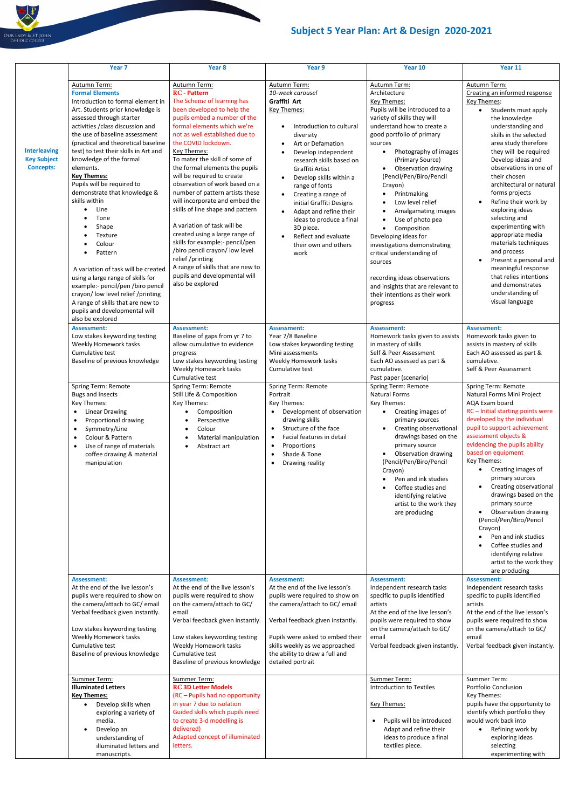## **Subject 5 Year Plan: Art & Design 2020-2021**

|                                                               | Year <sub>7</sub>                                                                                                                                                                                                                                                                                                                                                                                                                                                                                                                                                                                                                                                                                                                                              | Year 8                                                                                                                                                                                                                                                                                                                                                                                                                                                                                                                                                                                                                                                                                                                                 | Year 9                                                                                                                                                                                                                                                                                                                                                                                                                                                        | Year 10                                                                                                                                                                                                                                                                                                                                                                                                                                                                                                                                                                                                                                                                                                | Year 11                                                                                                                                                                                                                                                                                                                                                                                                                                                                                                                                                                                                                                                                                                             |
|---------------------------------------------------------------|----------------------------------------------------------------------------------------------------------------------------------------------------------------------------------------------------------------------------------------------------------------------------------------------------------------------------------------------------------------------------------------------------------------------------------------------------------------------------------------------------------------------------------------------------------------------------------------------------------------------------------------------------------------------------------------------------------------------------------------------------------------|----------------------------------------------------------------------------------------------------------------------------------------------------------------------------------------------------------------------------------------------------------------------------------------------------------------------------------------------------------------------------------------------------------------------------------------------------------------------------------------------------------------------------------------------------------------------------------------------------------------------------------------------------------------------------------------------------------------------------------------|---------------------------------------------------------------------------------------------------------------------------------------------------------------------------------------------------------------------------------------------------------------------------------------------------------------------------------------------------------------------------------------------------------------------------------------------------------------|--------------------------------------------------------------------------------------------------------------------------------------------------------------------------------------------------------------------------------------------------------------------------------------------------------------------------------------------------------------------------------------------------------------------------------------------------------------------------------------------------------------------------------------------------------------------------------------------------------------------------------------------------------------------------------------------------------|---------------------------------------------------------------------------------------------------------------------------------------------------------------------------------------------------------------------------------------------------------------------------------------------------------------------------------------------------------------------------------------------------------------------------------------------------------------------------------------------------------------------------------------------------------------------------------------------------------------------------------------------------------------------------------------------------------------------|
| <b>Interleaving</b><br><b>Key Subject</b><br><b>Concepts:</b> | Autumn Term:<br><b>Formal Elements</b><br>Introduction to formal element in<br>Art. Students prior knowledge is<br>assessed through starter<br>activities / class discussion and<br>the use of baseline assessment<br>(practical and theoretical baseline<br>test) to test their skills in Art and<br>knowledge of the formal<br>elements.<br><b>Key Themes:</b><br>Pupils will be required to<br>demonstrate that knowledge &<br>skills within<br>Line<br>Tone<br>Shape<br>Texture<br>٠<br>Colour<br>Pattern<br>A variation of task will be created<br>using a large range of skills for<br>example:- pencil/pen /biro pencil<br>crayon/ low level relief /printing<br>A range of skills that are new to<br>pupils and developmental will<br>also be explored | Autumn Term:<br><b>RC</b> - Pattern<br>The Scheme of learning has<br>been developed to help the<br>pupils embed a number of the<br>formal elements which we're<br>not as well established due to<br>the COVID lockdown.<br>Key Themes:<br>To mater the skill of some of<br>the formal elements the pupils<br>will be required to create<br>observation of work based on a<br>number of pattern artists these<br>will incorporate and embed the<br>skills of line shape and pattern<br>A variation of task will be<br>created using a large range of<br>skills for example:- pencil/pen<br>/biro pencil crayon/ low level<br>relief /printing<br>A range of skills that are new to<br>pupils and developmental will<br>also be explored | Autumn Term:<br>10-week carousel<br>Graffiti Art<br>Key Themes:<br>Introduction to cultural<br>diversity<br>Art or Defamation<br>Develop independent<br>٠<br>research skills based on<br>Graffiti Artist<br>Develop skills within a<br>$\bullet$<br>range of fonts<br>Creating a range of<br>initial Graffiti Designs<br>Adapt and refine their<br>$\bullet$<br>ideas to produce a final<br>3D piece.<br>Reflect and evaluate<br>their own and others<br>work | Autumn Term:<br>Architecture<br><b>Key Themes:</b><br>Pupils will be introduced to a<br>variety of skills they will<br>understand how to create a<br>good portfolio of primary<br>sources<br>Photography of images<br>$\bullet$<br>(Primary Source)<br>Observation drawing<br>$\bullet$<br>(Pencil/Pen/Biro/Pencil<br>Crayon)<br>Printmaking<br>٠<br>Low level relief<br>$\bullet$<br>Amalgamating images<br>$\bullet$<br>Use of photo pea<br>$\bullet$<br>Composition<br>$\bullet$<br>Developing ideas for<br>investigations demonstrating<br>critical understanding of<br>sources<br>recording ideas observations<br>and insights that are relevant to<br>their intentions as their work<br>progress | Autumn Term:<br>Creating an informed response<br>Key Themes:<br>Students must apply<br>$\bullet$<br>the knowledge<br>understanding and<br>skills in the selected<br>area study therefore<br>they will be required<br>Develop ideas and<br>observations in one of<br>their chosen<br>architectural or natural<br>forms projects<br>Refine their work by<br>exploring ideas<br>selecting and<br>experimenting with<br>appropriate media<br>materials techniques<br>and process<br>Present a personal and<br>meaningful response<br>that relies intentions<br>and demonstrates<br>understanding of<br>visual language                                                                                                  |
|                                                               | <b>Assessment:</b><br>Low stakes keywording testing<br>Weekly Homework tasks<br>Cumulative test<br>Baseline of previous knowledge<br>Spring Term: Remote<br><b>Bugs and Insects</b><br>Key Themes:<br><b>Linear Drawing</b><br>$\bullet$<br>Proportional drawing<br>$\bullet$<br>Symmetry/Line<br>$\bullet$<br>Colour & Pattern<br>٠<br>Use of range of materials<br>coffee drawing & material<br>manipulation                                                                                                                                                                                                                                                                                                                                                 | <b>Assessment:</b><br>Baseline of gaps from yr 7 to<br>allow cumulative to evidence<br>progress<br>Low stakes keywording testing<br>Weekly Homework tasks<br>Cumulative test<br>Spring Term: Remote<br>Still Life & Composition<br>Key Themes:<br>Composition<br>Perspective<br>Colour<br>Material manipulation<br>Abstract art                                                                                                                                                                                                                                                                                                                                                                                                        | <b>Assessment:</b><br>Year 7/8 Baseline<br>Low stakes keywording testing<br>Mini assessments<br>Weekly Homework tasks<br>Cumulative test<br>Spring Term: Remote<br>Portrait<br>Key Themes:<br>Development of observation<br>drawing skills<br>Structure of the face<br>$\bullet$<br>Facial features in detail<br>Proportions<br>$\bullet$<br>Shade & Tone<br>$\bullet$<br>Drawing reality<br>$\bullet$                                                        | <b>Assessment:</b><br>Homework tasks given to assists<br>in mastery of skills<br>Self & Peer Assessment<br>Each AO assessed as part &<br>cumulative.<br>Past paper (scenario)<br>Spring Term: Remote<br><b>Natural Forms</b><br>Key Themes:<br>Creating images of<br>$\bullet$<br>primary sources<br>Creating observational<br>$\bullet$<br>drawings based on the<br>primary source<br>Observation drawing<br>$\bullet$<br>(Pencil/Pen/Biro/Pencil<br>Crayon)<br>Pen and ink studies<br>$\bullet$<br>Coffee studies and<br>$\bullet$<br>identifying relative<br>artist to the work they<br>are producing                                                                                               | <b>Assessment:</b><br>Homework tasks given to<br>assists in mastery of skills<br>Each AO assessed as part &<br>cumulative.<br>Self & Peer Assessment<br>Spring Term: Remote<br>Natural Forms Mini Project<br>AQA Exam board<br>RC-Initial starting points were<br>developed by the individual<br>pupil to support achievement<br>assessment objects &<br>evidencing the pupils ability<br>based on equipment<br>Key Themes:<br>Creating images of<br>primary sources<br>Creating observational<br>$\bullet$<br>drawings based on the<br>primary source<br>Observation drawing<br>(Pencil/Pen/Biro/Pencil<br>Crayon)<br>Pen and ink studies<br>Coffee studies and<br>identifying relative<br>artist to the work they |
|                                                               | <b>Assessment:</b><br>At the end of the live lesson's<br>pupils were required to show on<br>the camera/attach to GC/ email<br>Verbal feedback given instantly.<br>Low stakes keywording testing<br>Weekly Homework tasks<br>Cumulative test<br>Baseline of previous knowledge                                                                                                                                                                                                                                                                                                                                                                                                                                                                                  | <b>Assessment:</b><br>At the end of the live lesson's<br>pupils were required to show<br>on the camera/attach to GC/<br>email<br>Verbal feedback given instantly.<br>Low stakes keywording testing<br>Weekly Homework tasks<br>Cumulative test<br>Baseline of previous knowledge                                                                                                                                                                                                                                                                                                                                                                                                                                                       | <b>Assessment:</b><br>At the end of the live lesson's<br>pupils were required to show on<br>the camera/attach to GC/ email<br>Verbal feedback given instantly.<br>Pupils were asked to embed their<br>skills weekly as we approached<br>the ability to draw a full and<br>detailed portrait                                                                                                                                                                   | <b>Assessment:</b><br>Independent research tasks<br>specific to pupils identified<br>artists<br>At the end of the live lesson's<br>pupils were required to show<br>on the camera/attach to GC/<br>email<br>Verbal feedback given instantly.                                                                                                                                                                                                                                                                                                                                                                                                                                                            | are producing<br><b>Assessment:</b><br>Independent research tasks<br>specific to pupils identified<br>artists<br>At the end of the live lesson's<br>pupils were required to show<br>on the camera/attach to GC/<br>email<br>Verbal feedback given instantly.                                                                                                                                                                                                                                                                                                                                                                                                                                                        |
|                                                               | Summer Term:<br><b>Illuminated Letters</b><br><b>Key Themes:</b><br>Develop skills when<br>$\bullet$<br>exploring a variety of<br>media.<br>Develop an<br>understanding of<br>illuminated letters and<br>manuscripts.                                                                                                                                                                                                                                                                                                                                                                                                                                                                                                                                          | Summer Term:<br><b>RC 3D Letter Models</b><br>(RC - Pupils had no opportunity<br>in year 7 due to isolation<br>Guided skills which pupils need<br>to create 3-d modelling is<br>delivered)<br>Adapted concept of illuminated<br>letters.                                                                                                                                                                                                                                                                                                                                                                                                                                                                                               |                                                                                                                                                                                                                                                                                                                                                                                                                                                               | Summer Term:<br><b>Introduction to Textiles</b><br><b>Key Themes:</b><br>Pupils will be introduced<br>Adapt and refine their<br>ideas to produce a final<br>textiles piece.                                                                                                                                                                                                                                                                                                                                                                                                                                                                                                                            | Summer Term:<br>Portfolio Conclusion<br>Key Themes:<br>pupils have the opportunity to<br>identify which portfolio they<br>would work back into<br>Refining work by<br>$\bullet$<br>exploring ideas<br>selecting<br>experimenting with                                                                                                                                                                                                                                                                                                                                                                                                                                                                               |

OUR LADY & ST JOHN